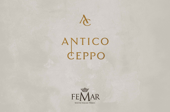

# ANTICO



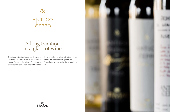# ANTICO

E

## A long tradition in a glass of wine

The stump is the beginning of a lineage, of a variety, a tree or a plant. In Femar world, Antico Ceppo is the origin of a cluster of products that come from ancient land like those of volcanic origin of Latium Area, where the international grapes used by Femar have been growing for a very long time.



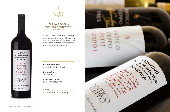

#### $\lambda$ **ANTICO** CEPPO

#### - **PRIMITIVO DI MANDURIA** - DENOMINAZIONE DI ORIGINE PROTETTA ROSSO RISERVA

 $\bullet$  Origin of the vineyards Area of the Doc Manduria (Apulia).

\* Grape variety 100% Primitivo.

Deep ruby red with garnet shades, smells of wild berries and plum jam, red currant flower, dry violet, spices, on a bottom of graphite and cocoa powder. Smooth, full bodied, fruity and spicy, well balanced and unbelievably persistent.

 $\equiv$  Vine training system Traditional Apulian bush vine.

 $\star$  Awars

2015 › Gold Medal Berliner Wine Trophy



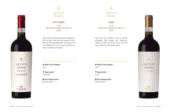

### $\lambda$

#### **ANTICO** CEPPO

- **PETIT VERDOT** - LAZIO INDICAZIONE GEOGRAFICA PROTETTA ROSSO

- **SYRAH** -

LAZIO INDICAZIONE GEOGRAFICA PROTETTA ROSSO

Deep ruby red. Intense sensations of blackberry and dry plum, then spicy and balsamic notes. Powerful and pleasantly tannic sip, drives on all the sensation felt on the nose, full bodied and long in a balsamic persistence.

 $\bullet$  Origin of the vineyards Lazio.

\* Grape variety Petit Verdot.

 $\equiv$  Vine training system Spurred cordon.

#### $\lambda$ **ANTICO** CEPPO

 $\bullet$  Origin of the vineyards Lazio.

\* Grape variety Syrah.

 $\equiv$  Vine training system Spurred cordon.

Deep ruby red. Sensation of fruit in alcohol, eucalyptus, black pepper and underbrush. Elegant sip, with ripe tannins, fruity, fresh and easy to drink with a good persistence.

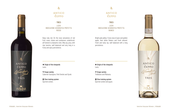

#### $\lambda$

#### **ANTICO** CEPPO

- **TRES** - LAZIO INDICAZIONE GEOGRAFICA PROTETTA ROSSO

- **TRES** -

LAZIO INDICAZIONE GEOGRAFICA PROTETTA BIANCO

Deep ruby red. On the nose sensations of red fruit, roses, cloves and cardamom, underbrush, all framed in a balsamic note. Silky sip, juicy, with ripe tannins, well balanced and very long in a fruity and spicy persistence.

 $\bullet$  Origin of the vineyards Lazio.

\* Grape variety Cabernet Sauvignon, Petit Verdot and Syrah.

 $\equiv$  Vine training system Spurred cordon.

#### $\lambda$ **ANTICO** CEPPO

 $\bullet$  Origin of the vineyards Lazio.

\* Grape variety Trebbiano and Malvasia.

 $\equiv$  Vine training system Spurred cordon and guyot.

Bright pale yellow. Fruity nose of pear and golden apple, then white flowers and fresh almond. Fresh and tasty sip, well balanced with a long persistence.